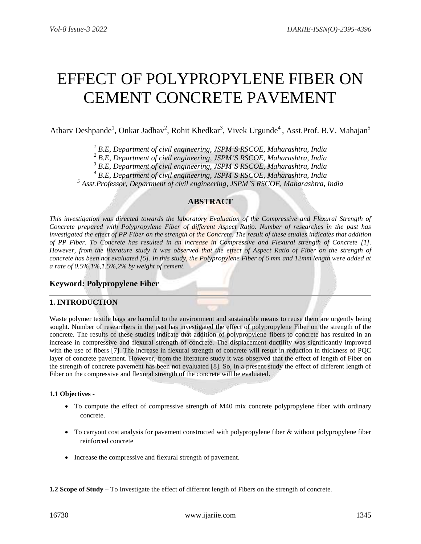# EFFECT OF POLYPROPYLENE FIBER ON CEMENT CONCRETE PAVEMENT

Atharv Deshpande<sup>1</sup>, Onkar Jadhav<sup>2</sup>, Rohit Khedkar<sup>3</sup>, Vivek Urgunde<sup>4</sup>, Asst.Prof. B.V. Mahajan<sup>5</sup>

*<sup>1</sup> B.E, Department of civil engineering, JSPM'S RSCOE, Maharashtra, India*

*<sup>2</sup> B.E, Department of civil engineering, JSPM'S RSCOE, Maharashtra, India*

*<sup>3</sup> B.E, Department of civil engineering, JSPM'S RSCOE, Maharashtra, India*

*<sup>4</sup> B.E, Department of civil engineering, JSPM'S RSCOE, Maharashtra, India*

*<sup>5</sup> Asst.Professor, Department of civil engineering, JSPM'S RSCOE, Maharashtra, India*

# **ABSTRACT**

*This investigation was directed towards the laboratory Evaluation of the Compressive and Flexural Strength of Concrete prepared with Polypropylene Fiber of different Aspect Ratio. Number of researches in the past has investigated the effect of PP Fiber on the strength of the Concrete. The result of these studies indicates that addition of PP Fiber. To Concrete has resulted in an increase in Compressive and Flexural strength of Concrete [1]. However, from the literature study it was observed that the effect of Aspect Ratio of Fiber on the strength of concrete has been not evaluated [5]. In this study, the Polypropylene Fiber of 6 mm and 12mm length were added at a rate of 0.5%,1%,1.5%,2% by weight of cement.*

# **Keyword: Polypropylene Fiber**

## **1. INTRODUCTION**

Waste polymer textile bags are harmful to the environment and sustainable means to reuse them are urgently being sought. Number of researchers in the past has investigated the effect of polypropylene Fiber on the strength of the concrete. The results of these studies indicate that addition of polypropylene fibers to concrete has resulted in an increase in compressive and flexural strength of concrete. The displacement ductility was significantly improved with the use of fibers [7]. The increase in flexural strength of concrete will result in reduction in thickness of PQC layer of concrete pavement. However, from the literature study it was observed that the effect of length of Fiber on the strength of concrete pavement has been not evaluated [8]. So, in a present study the effect of different length of Fiber on the compressive and flexural strength of the concrete will be evaluated.

## **1.1 Objectives -**

- To compute the effect of compressive strength of M40 mix concrete polypropylene fiber with ordinary concrete.
- To carryout cost analysis for pavement constructed with polypropylene fiber & without polypropylene fiber reinforced concrete
- Increase the compressive and flexural strength of pavement.

**1.2 Scope of Study –** To Investigate the effect of different length of Fibers on the strength of concrete.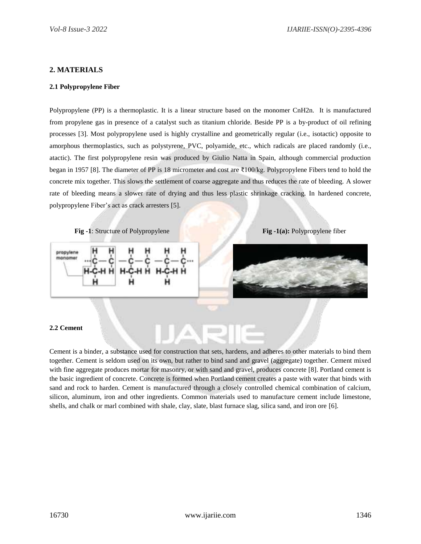## **2. MATERIALS**

#### **2.1 Polypropylene Fiber**

Polypropylene (PP) is a thermoplastic. It is a linear structure based on the monomer CnH2n. It is manufactured from propylene gas in presence of a catalyst such as titanium chloride. Beside PP is a by-product of oil refining processes [3]. Most polypropylene used is highly crystalline and geometrically regular (i.e., isotactic) opposite to amorphous thermoplastics, such as polystyrene, PVC, polyamide, etc., which radicals are placed randomly (i.e., atactic). The first polypropylene resin was produced by Giulio Natta in Spain, although commercial production began in 1957 [8]. The diameter of PP is 18 micrometer and cost are ₹100/kg. Polypropylene Fibers tend to hold the concrete mix together. This slows the settlement of coarse aggregate and thus reduces the rate of bleeding. A slower rate of bleeding means a slower rate of drying and thus less plastic shrinkage cracking. In hardened concrete, polypropylene Fiber's act as crack arresters [5].

**Fig -1**: Structure of Polypropylene **Fig -1(a):** Polypropylene fiber





#### **2.2 Cement**

Cement is a binder, a substance used for construction that sets, hardens, and adheres to other materials to bind them together. Cement is seldom used on its own, but rather to bind sand and gravel (aggregate) together. Cement mixed with fine aggregate produces mortar for masonry, or with sand and gravel, produces concrete [8]. Portland cement is the basic ingredient of concrete. Concrete is formed when Portland cement creates a paste with water that binds with sand and rock to harden. Cement is manufactured through a closely controlled chemical combination of calcium, silicon, aluminum, iron and other ingredients. Common materials used to manufacture cement include limestone, shells, and chalk or marl combined with shale, clay, slate, blast furnace slag, silica sand, and iron ore [6].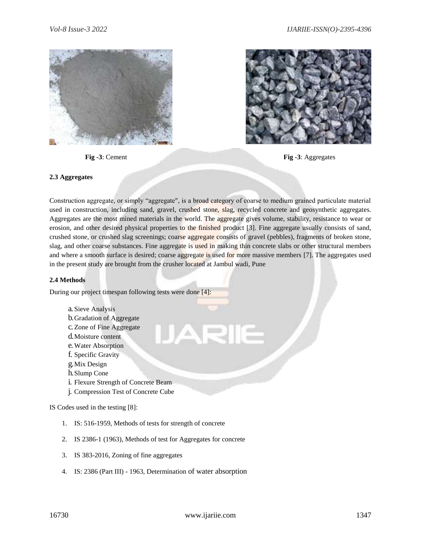



**Fig -3**: Cement **Fig -3**: Aggregates

#### **2.3 Aggregates**

Construction aggregate, or simply "aggregate", is a broad category of coarse to medium grained particulate material used in construction, including sand, gravel, crushed stone, slag, recycled concrete and geosynthetic aggregates. Aggregates are the most mined materials in the world. The [aggregate g](https://www.merriam-webster.com/dictionary/aggregate)ives volume, stability, resistance to wear or erosion, and other desired physical properties to the finished product [3]. Fine aggregate usually consists of sand, crushed stone, or crushed slag screenings; coarse aggregate consists of gravel (pebbles), fragments of broken stone, slag, and other coarse substances. Fine aggregate is used in making thin concrete slabs or other structural members and where a smooth surface is desired; coarse aggregate is used for more massive members [7]. The aggregates used in the present study are brought from the crusher located at Jambul wadi, Pune

#### **2.4 Methods**

During our project timespan following tests were done [4]:

- a. Sieve Analysis
- b.Gradation of Aggregate
- c. Zone of Fine Aggregate
- d.Moisture content
- e.Water Absorption
- f. Specific Gravity
- g.Mix Design
- h.Slump Cone
- i. Flexure Strength of Concrete Beam
- j. Compression Test of Concrete Cube

IS Codes used in the testing [8]:

- 1. IS: 516-1959, Methods of tests for strength of concrete
- 2. IS 2386-1 (1963), Methods of test for Aggregates for concrete
- 3. IS 383-2016, Zoning of fine aggregates
- 4. IS: 2386 (Part III) 1963, Determination of water absorption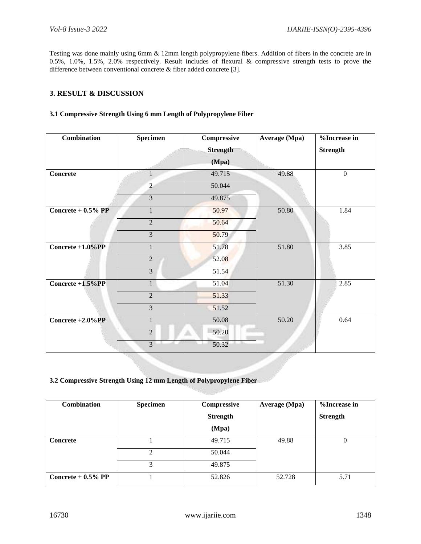Testing was done mainly using 6mm & 12mm length polypropylene fibers. Addition of fibers in the concrete are in 0.5%, 1.0%, 1.5%, 2.0% respectively. Result includes of flexural & compressive strength tests to prove the difference between conventional concrete & fiber added concrete [3].

## **3. RESULT & DISCUSSION**

## **3.1 Compressive Strength Using 6 mm Length of Polypropylene Fiber**

| Combination          | Specimen       | Compressive<br><b>Strength</b><br>(Mpa) | Average (Mpa) | %Increase in<br><b>Strength</b> |
|----------------------|----------------|-----------------------------------------|---------------|---------------------------------|
| <b>Concrete</b>      | $\mathbf{1}$   | 49.715                                  | 49.88         | $\boldsymbol{0}$                |
|                      | $\overline{2}$ | 50.044                                  |               |                                 |
|                      | 3              | 49.875                                  |               |                                 |
| Concrete $+0.5\%$ PP | $\mathbf{1}$   | 50.97                                   | 50.80         | 1.84                            |
|                      | $\overline{2}$ | 50.64                                   |               |                                 |
|                      | $\overline{3}$ | 50.79                                   |               |                                 |
| Concrete $+1.0\%$ PP | $\mathbf{1}$   | 51.78                                   | 51.80         | 3.85                            |
|                      | $\overline{2}$ | 52.08                                   |               |                                 |
|                      | $\overline{3}$ | 51.54                                   |               |                                 |
| Concrete $+1.5\%PP$  | $\mathbf{1}$   | 51.04                                   | 51.30         | 2.85                            |
|                      | $\overline{2}$ | 51.33                                   |               |                                 |
|                      | $\overline{3}$ | 51.52                                   |               |                                 |
| Concrete $+2.0\%$ PP | $\mathbf{1}$   | 50.08                                   | 50.20         | 0.64                            |
|                      | $\overline{2}$ | 50.20                                   |               |                                 |
|                      | $\overline{3}$ | 50.32                                   |               |                                 |

#### **3.2 Compressive Strength Using 12 mm Length of Polypropylene Fiber**

| <b>Combination</b>   | <b>Specimen</b> | Compressive     | Average (Mpa) | %Increase in    |
|----------------------|-----------------|-----------------|---------------|-----------------|
|                      |                 | <b>Strength</b> |               | <b>Strength</b> |
|                      |                 | (Mpa)           |               |                 |
| <b>Concrete</b>      |                 | 49.715          | 49.88         | $\theta$        |
|                      | 2               | 50.044          |               |                 |
|                      | 3               | 49.875          |               |                 |
| Concrete $+0.5\%$ PP |                 | 52.826          | 52.728        | 5.71            |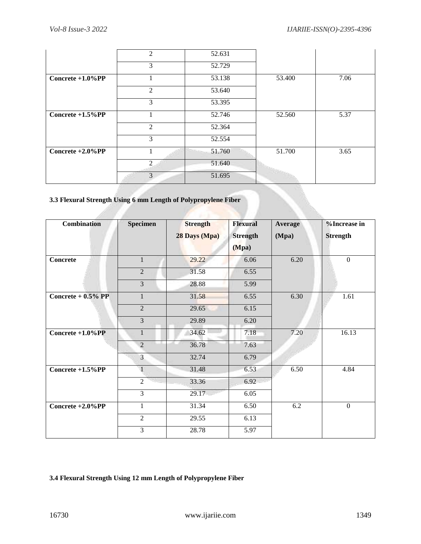|                      | $\overline{2}$ | 52.631 |        |      |
|----------------------|----------------|--------|--------|------|
|                      | 3              | 52.729 |        |      |
| Concrete $+1.0\%$ PP |                | 53.138 | 53.400 | 7.06 |
|                      | 2              | 53.640 |        |      |
|                      | 3              | 53.395 |        |      |
| Concrete $+1.5\%PP$  |                | 52.746 | 52.560 | 5.37 |
|                      | 2              | 52.364 |        |      |
|                      | 3              | 52.554 |        |      |
| Concrete $+2.0\%$ PP |                | 51.760 | 51.700 | 3.65 |
|                      | $\mathfrak{D}$ | 51.640 |        |      |
|                      | 3              | 51.695 |        |      |

# **3.3 Flexural Strength Using 6 mm Length of Polypropylene Fiber**

| <b>Combination</b>   | <b>Specimen</b> | <b>Strength</b><br>28 Days (Mpa) | <b>Flexural</b><br><b>Strength</b><br>(Mpa) | Average<br>(Mpa) | %Increase in<br><b>Strength</b> |
|----------------------|-----------------|----------------------------------|---------------------------------------------|------------------|---------------------------------|
| Concrete             | $\mathbf{1}$    | 29.22                            | 6.06                                        | 6.20             | $\Omega$                        |
|                      | $\overline{2}$  | 31.58                            | 6.55                                        |                  |                                 |
|                      | 3               | 28.88                            | 5.99                                        |                  |                                 |
| Concrete $+0.5%$ PP  | $\mathbf{1}$    | 31.58                            | 6.55                                        | 6.30             | 1.61                            |
|                      | $\overline{2}$  | 29.65                            | 6.15                                        |                  |                                 |
|                      | $\overline{3}$  | 29.89                            | 6.20                                        |                  |                                 |
| Concrete $+1.0\%$ PP | $\mathbf{1}$    | 34.62                            | 7.18                                        | 7.20             | 16.13                           |
|                      | $\overline{2}$  | 36.78                            | 7.63                                        |                  |                                 |
|                      | $\overline{3}$  | 32.74                            | 6.79                                        |                  |                                 |
| Concrete +1.5%PP     | $\overline{1}$  | 31.48                            | 6.53                                        | 6.50             | 4.84                            |
|                      | $\overline{2}$  | 33.36                            | 6.92                                        |                  |                                 |
|                      | $\overline{3}$  | 29.17                            | 6.05                                        |                  |                                 |
| Concrete +2.0%PP     | $\mathbf{1}$    | 31.34                            | 6.50                                        | 6.2              | $\mathbf{0}$                    |
|                      | $\overline{2}$  | 29.55                            | 6.13                                        |                  |                                 |
|                      | 3               | 28.78                            | 5.97                                        |                  |                                 |

# **3.4 Flexural Strength Using 12 mm Length of Polypropylene Fiber**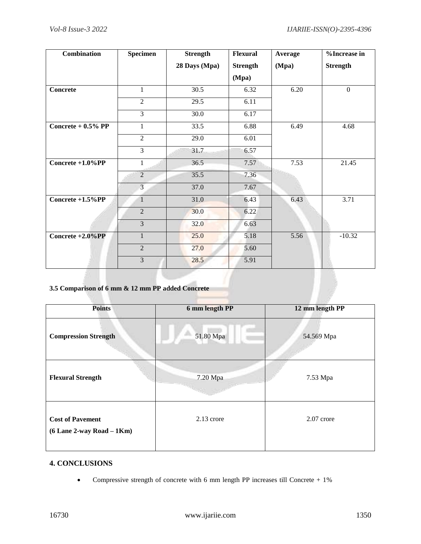| Combination          | <b>Specimen</b> | <b>Strength</b>   | <b>Flexural</b> | Average | %Increase in    |
|----------------------|-----------------|-------------------|-----------------|---------|-----------------|
|                      |                 | 28 Days (Mpa)     | <b>Strength</b> | (Mpa)   | <b>Strength</b> |
|                      |                 |                   | (Mpa)           |         |                 |
| <b>Concrete</b>      | $\mathbf{1}$    | 30.5              | 6.32            | 6.20    | $\overline{0}$  |
|                      | $\overline{2}$  | 29.5              | 6.11            |         |                 |
|                      | $\overline{3}$  | $\overline{30.0}$ | 6.17            |         |                 |
| Concrete $+0.5%$ PP  | 1               | 33.5              | 6.88            | 6.49    | 4.68            |
|                      | $\overline{2}$  | 29.0              | 6.01            |         |                 |
|                      | $\overline{3}$  | 31.7              | 6.57            |         |                 |
| Concrete $+1.0\%$ PP | $\mathbf{1}$    | 36.5              | 7.57            | 7.53    | 21.45           |
|                      | $\overline{2}$  | 35.5              | 7.36            |         |                 |
|                      | $\overline{3}$  | 37.0              | 7.67            |         |                 |
| Concrete $+1.5\%PP$  | $\mathbf{1}$    | 31.0              | 6.43            | 6.43    | 3.71            |
|                      | $\overline{2}$  | 30.0              | 6.22            |         |                 |
|                      | $\overline{3}$  | 32.0              | 6.63            |         |                 |
| Concrete $+2.0\%$ PP | $\mathbf{1}$    | 25.0              | 5.18            | 5.56    | $-10.32$        |
|                      | $\overline{2}$  | 27.0              | 5.60            |         |                 |
|                      | $\overline{3}$  | 28.5              | 5.91            |         |                 |

# **3.5 Comparison of 6 mm & 12 mm PP added Concrete**

| <b>Points</b>                                            | 6 mm length PP | 12 mm length PP |
|----------------------------------------------------------|----------------|-----------------|
| <b>Compression Strength</b>                              | 51.80 Mpa      | 54.569 Mpa      |
| <b>Flexural Strength</b>                                 | 7.20 Mpa       | 7.53 Mpa        |
| <b>Cost of Pavement</b><br>$(6$ Lane 2-way Road $-$ 1Km) | 2.13 crore     | 2.07 crore      |

# **4. CONCLUSIONS**

Compressive strength of concrete with 6 mm length PP increases till Concrete + 1%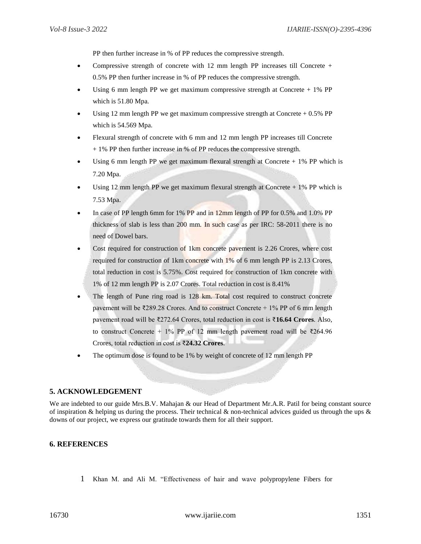PP then further increase in % of PP reduces the compressive strength.

- Compressive strength of concrete with 12 mm length PP increases till Concrete  $+$ 0.5% PP then further increase in % of PP reduces the compressive strength.
- Using 6 mm length PP we get maximum compressive strength at Concrete  $+ 1\%$  PP which is 51.80 Mpa.
- Using 12 mm length PP we get maximum compressive strength at Concrete  $+ 0.5\%$  PP which is 54.569 Mpa.
- Flexural strength of concrete with 6 mm and 12 mm length PP increases till Concrete + 1% PP then further increase in % of PP reduces the compressive strength.
- Using 6 mm length PP we get maximum flexural strength at Concrete  $+ 1\%$  PP which is 7.20 Mpa.
- Using 12 mm length PP we get maximum flexural strength at Concrete + 1% PP which is 7.53 Mpa.
- In case of PP length 6mm for 1% PP and in 12mm length of PP for 0.5% and 1.0% PP thickness of slab is less than 200 mm. In such case as per IRC: 58-2011 there is no need of Dowel bars.
- Cost required for construction of 1km concrete pavement is 2.26 Crores, where cost required for construction of 1km concrete with 1% of 6 mm length PP is 2.13 Crores, total reduction in cost is 5.75%. Cost required for construction of 1km concrete with 1% of 12 mm length PP is 2.07 Crores. Total reduction in cost is 8.41%
- The length of Pune ring road is 128 km. Total cost required to construct concrete pavement will be  $\overline{\ell}289.28$  Crores. And to construct Concrete + 1% PP of 6 mm length pavement road will be ₹272.64 Crores, total reduction in cost is ₹**16.64 Crores**. Also, to construct Concrete + 1% PP of 12 mm length pavement road will be ₹264.96 Crores, total reduction in cost is ₹**24.32 Crores**.
- The optimum dose is found to be 1% by weight of concrete of 12 mm length PP

#### **5. ACKNOWLEDGEMENT**

We are indebted to our guide Mrs.B.V. Mahajan & our Head of Department Mr.A.R. Patil for being constant source of inspiration & helping us during the process. Their technical & non-technical advices guided us through the ups  $\&$ downs of our project, we express our gratitude towards them for all their support.

#### **6. REFERENCES**

1 Khan M. and Ali M. "Effectiveness of hair and wave polypropylene Fibers for